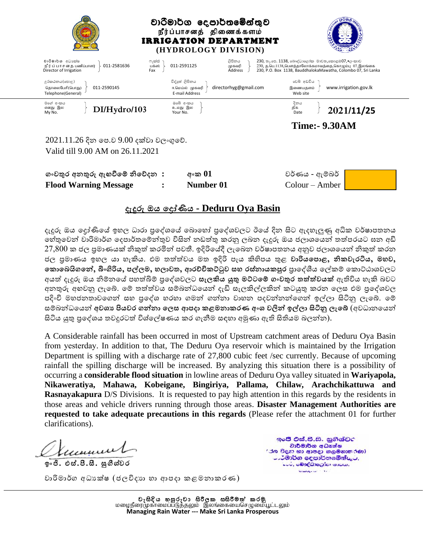

2021.11.26 දින පෙ.ව 9.00 දක්වා වලංගුපේ. Valid till 9.00 AM on 26.11.2021

| ගංවතුර අනතුරු ඇහවීමේ නිවේදන : | අංක $01$  | වර්ණය - ඇම්බර්                 |  |
|-------------------------------|-----------|--------------------------------|--|
| <b>Flood Warning Message</b>  | Number 01 | $\text{Colour} - \text{Amber}$ |  |

## **දැදුරු ඔය මරෝණිය - Deduru Oya Basin**

දැදුරු ඔය දෝණියේ ඉහල ධාරා පුදේශයේ බොහෝ පුදේශවලට ඊයේ දින සිට ඇදහැලුණු අධික වර්ෂාපතනය හේතුවෙන් වාරිමාර්ග දෙපාර්තමේන්තුව විසින් නඩත්තු කරනු ලබන දැදුරු ඔය ජලාශයෙන් තත්පරයට ඝන අඩි  $27\small{,}800$  ක ජල පුමාණයක් නිකුත් කරමින් පවතී. ඉදිරියේදී ලැබෙන වර්ෂාපතනය අනුව ජලාශයෙන් නිකුත් කරන ජල ප්රමාණය ඉහල යා හැකිය. එම තත්තත්තවය මත ඉදිරි ෙැය කිහිෙය තුළ **වාරියම ාළ, නිකවැරටිය, මහව,**  <mark>ණොබෙයිගනේ, බිංගිරිය, පල්ලම, හලාවත, ආරච්චිකට්ටුව සහ රස්නායකපූර</mark> පාලේශීය ලේකම් කොට්ඨාශවලට අයත් දැදුරු ඔය නිම්නයේ පහත්බිම් පුදේශවලට **සැලකිය යුතු මට්ටමේ ගංවතුර තත්ත්වයක්** ඇතිවිය හැකි බවට අනතුරු අහවනු ලැබේ. මේ තත්ත්වය සම්බන්ධයෙන් දැඩි සැලකිල්ලකින් කටයුතු කරන ලෙස එම පුදේශවල පදිංචි මහජනතාවගෙන් සහ පුදේශ හරහා ගමන් ගන්නා වාහන පදවන්නන්ගෙන් ඉල්ලා සිටිනු ලැබේ. මේ සම්බන්ධයෙන් <mark>අවශා පියවර ගන්නා ලෙස ආපදා කළමනාකරණ අංශ වලින් ඉල්ලා සිටිනු ලැබේ</mark> (අවධානයෙන් සිටිය යුතු පුදේශය තවදුරටත් විශ්ලේෂණය කර ගැනීම සඳහා අමුණා ඇති සිතියම බලන්න).

A Considerable rainfall has been occurred in most of Upstream catchment areas of Deduru Oya Basin from yesterday. In addition to that, The Deduru Oya reservoir which is maintained by the Irrigation Department is spilling with a discharge rate of 27,800 cubic feet /sec currently. Because of upcoming rainfall the spilling discharge will be increased. By analyzing this situation there is a possibility of occurring a **considerable flood situation** in lowline areas of Deduru Oya valley situated in **Wariyapola, Nikaweratiya, Mahawa, Kobeigane, Bingiriya, Pallama, Chilaw, Arachchikattuwa and Rasnayakapura** D/S Divisions. It is requested to pay high attention in this regards by the residents in those areas and vehicle drivers running through those areas. **Disaster Management Authorities are requested to take adequate precautions in this regards** (Please refer the attachment 01 for further clarifications).

Í, Kecuwa

**ඉංජි. එස්.පී.සී. සුගීශ්්වර**

ඉංජී එස්.පී.සී. සුගීශ්චර වාර්මාර්ග අධෘක්ෂ 'රත විදහ හා ආපදා කලමනාකරණ) ථමාර්ග දෙපාර්තමේන්තුට, ட்டப், மூலத்திக்கும் காப்ப,  $\frac{1}{2} \frac{1}{2} \frac{1}{2} \frac{1}{2} \frac{1}{2} \frac{1}{2} \frac{1}{2} \frac{1}{2} \frac{1}{2} \frac{1}{2} \frac{1}{2} \frac{1}{2} \frac{1}{2} \frac{1}{2} \frac{1}{2} \frac{1}{2} \frac{1}{2} \frac{1}{2} \frac{1}{2} \frac{1}{2} \frac{1}{2} \frac{1}{2} \frac{1}{2} \frac{1}{2} \frac{1}{2} \frac{1}{2} \frac{1}{2} \frac{1}{2} \frac{1}{2} \frac{1}{2} \frac{1}{2} \frac{$ 

වාරිමාර්ග අධයක්ෂ (ජලවිදයා හා ආෙදා කළමනාකරණ)

වැසිදිය හසුරුවා සිරිලක සසිරීමත් කරමු மழைநீரை**மு**காமைப்படுத்தலும் இலங்கையைசெழுமையூட்டலும் **Managing Rain Water --- Make Sri Lanka Prosperous**